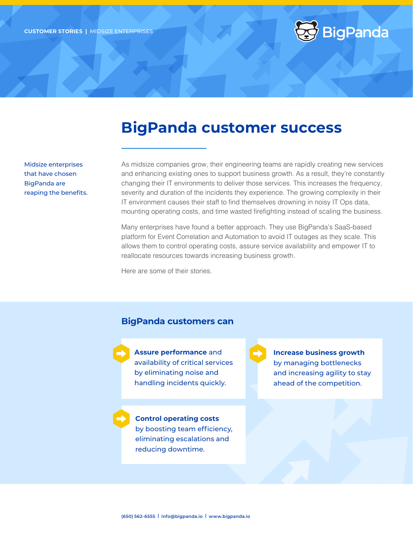

# **BigPanda customer success**

Midsize enterprises that have chosen BigPanda are reaping the benefits. As midsize companies grow, their engineering teams are rapidly creating new services and enhancing existing ones to support business growth. As a result, they're constantly changing their IT environments to deliver those services. This increases the frequency, severity and duration of the incidents they experience. The growing complexity in their IT environment causes their staff to find themselves drowning in noisy IT Ops data, mounting operating costs, and time wasted firefighting instead of scaling the business.

Many enterprises have found a better approach. They use BigPanda's SaaS-based platform for Event Correlation and Automation to avoid IT outages as they scale. This allows them to control operating costs, assure service availability and empower IT to reallocate resources towards increasing business growth.

Here are some of their stories.

#### **BigPanda customers can**



**Assure performance** and availability of critical services by eliminating noise and handling incidents quickly.

**Control operating costs** by boosting team efficiency, eliminating escalations and reducing downtime.

**Increase business growth** by managing bottlenecks and increasing agility to stay ahead of the competition.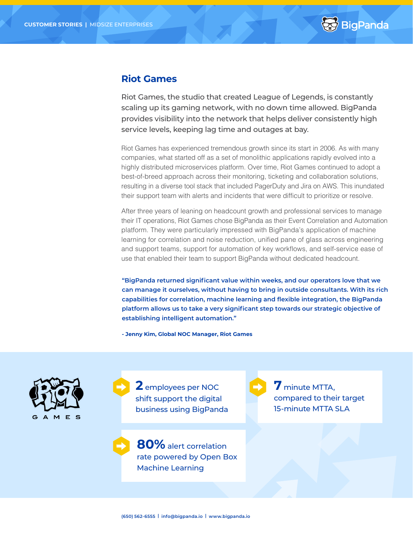

### **Riot Games**

Riot Games, the studio that created League of Legends, is constantly scaling up its gaming network, with no down time allowed. BigPanda provides visibility into the network that helps deliver consistently high service levels, keeping lag time and outages at bay.

Riot Games has experienced tremendous growth since its start in 2006. As with many companies, what started off as a set of monolithic applications rapidly evolved into a highly distributed microservices platform. Over time, Riot Games continued to adopt a best-of-breed approach across their monitoring, ticketing and collaboration solutions, resulting in a diverse tool stack that included PagerDuty and Jira on AWS. This inundated their support team with alerts and incidents that were difficult to prioritize or resolve.

After three years of leaning on headcount growth and professional services to manage their IT operations, Riot Games chose BigPanda as their Event Correlation and Automation platform. They were particularly impressed with BigPanda's application of machine learning for correlation and noise reduction, unified pane of glass across engineering and support teams, support for automation of key workflows, and self-service ease of use that enabled their team to support BigPanda without dedicated headcount.

**"BigPanda returned significant value within weeks, and our operators love that we can manage it ourselves, without having to bring in outside consultants. With its rich capabilities for correlation, machine learning and flexible integration, the BigPanda platform allows us to take a very significant step towards our strategic objective of establishing intelligent automation."**

**- Jenny Kim, Global NOC Manager, Riot Games**



**2** employees per NOC shift support the digital business using BigPanda

**80%** alert correlation rate powered by Open Box Machine Learning

**7** minute MTTA, compared to their target 15-minute MTTA SLA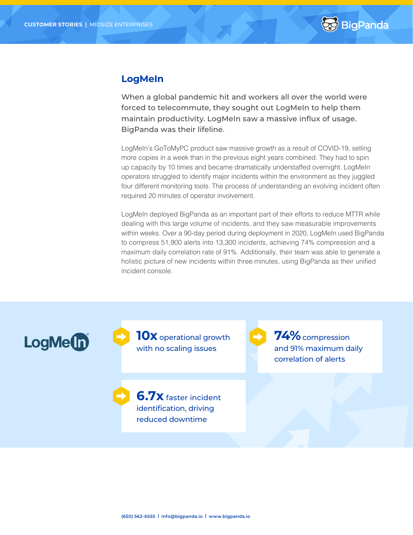

### **LogMeIn**

When a global pandemic hit and workers all over the world were forced to telecommute, they sought out LogMeIn to help them maintain productivity. LogMeIn saw a massive influx of usage. BigPanda was their lifeline.

LogMeIn's GoToMyPC product saw massive growth as a result of COVID-19, selling more copies in a week than in the previous eight years combined. They had to spin up capacity by 10 times and became dramatically understaffed overnight. LogMeIn operators struggled to identify major incidents within the environment as they juggled four different monitoring tools. The process of understanding an evolving incident often required 20 minutes of operator involvement.

LogMeIn deployed BigPanda as an important part of their efforts to reduce MTTR while dealing with this large volume of incidents, and they saw measurable improvements within weeks. Over a 90-day period during deployment in 2020, LogMeIn used BigPanda to compress 51,900 alerts into 13,300 incidents, achieving 74% compression and a maximum daily correlation rate of 91%. Additionally, their team was able to generate a holistic picture of new incidents within three minutes, using BigPanda as their unified incident console.

LogMe(n)

**10x** operational growth with no scaling issues

**6.7x** faster incident identification, driving reduced downtime

**74%**compression and 91% maximum daily correlation of alerts